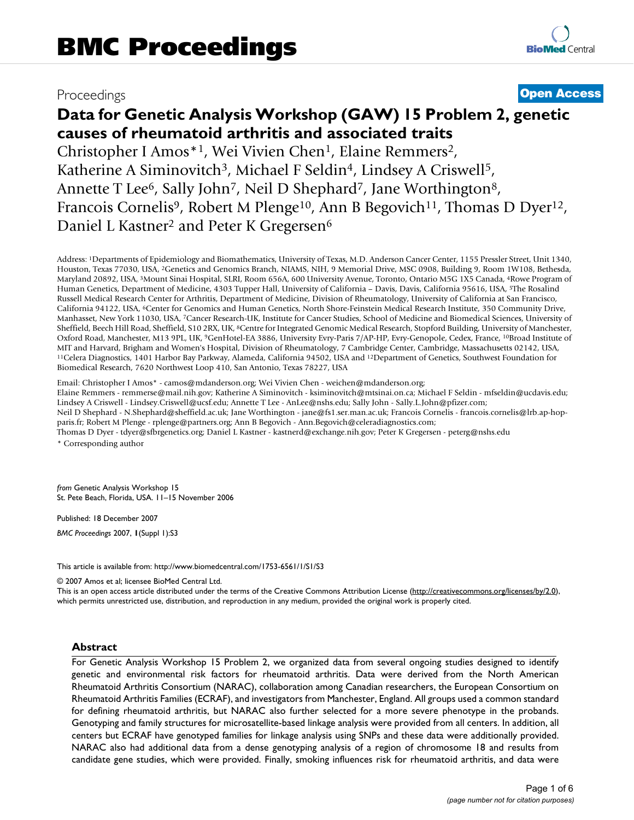## Proceedings **[Open Access](http://www.biomedcentral.com/info/about/charter/)**

# **Data for Genetic Analysis Workshop (GAW) 15 Problem 2, genetic causes of rheumatoid arthritis and associated traits**

Christopher I Amos\*1, Wei Vivien Chen1, Elaine Remmers2, Katherine A Siminovitch<sup>3</sup>, Michael F Seldin<sup>4</sup>, Lindsey A Criswell<sup>5</sup>, Annette T Lee<sup>6</sup>, Sally John<sup>7</sup>, Neil D Shephard<sup>7</sup>, Jane Worthington<sup>8</sup>, Francois Cornelis<sup>9</sup>, Robert M Plenge<sup>10</sup>, Ann B Begovich<sup>11</sup>, Thomas D Dyer<sup>12</sup>, Daniel L Kastner<sup>2</sup> and Peter K Gregersen<sup>6</sup>

Address: 1Departments of Epidemiology and Biomathematics, University of Texas, M.D. Anderson Cancer Center, 1155 Pressler Street, Unit 1340, Houston, Texas 77030, USA, 2Genetics and Genomics Branch, NIAMS, NIH, 9 Memorial Drive, MSC 0908, Building 9, Room 1W108, Bethesda, Maryland 20892, USA, 3Mount Sinai Hospital, SLRI, Room 656A, 600 University Avenue, Toronto, Ontario M5G 1X5 Canada, 4Rowe Program of Human Genetics, Department of Medicine, 4303 Tupper Hall, University of California – Davis, Davis, California 95616, USA, 5The Rosalind Russell Medical Research Center for Arthritis, Department of Medicine, Division of Rheumatology, University of California at San Francisco, California 94122, USA, 6Center for Genomics and Human Genetics, North Shore-Feinstein Medical Research Institute, 350 Community Drive, Manhasset, New York 11030, USA, 7Cancer Research-UK, Institute for Cancer Studies, School of Medicine and Biomedical Sciences, University of Sheffield, Beech Hill Road, Sheffield, S10 2RX, UK, 8Centre for Integrated Genomic Medical Research, Stopford Building, University of Manchester, Oxford Road, Manchester, M13 9PL, UK, 9GenHotel-EA 3886, University Evry-Paris 7/AP-HP, Evry-Genopole, Cedex, France, 10Broad Institute of MIT and Harvard, Brigham and Women's Hospital, Division of Rheumatology, 7 Cambridge Center, Cambridge, Massachusetts 02142, USA, 11Celera Diagnostics, 1401 Harbor Bay Parkway, Alameda, California 94502, USA and <sup>12</sup>Depart Biomedical Research, 7620 Northwest Loop 410, San Antonio, Texas 78227, USA

Email: Christopher I Amos\* - camos@mdanderson.org; Wei Vivien Chen - weichen@mdanderson.org;

Elaine Remmers - remmerse@mail.nih.gov; Katherine A Siminovitch - ksiminovitch@mtsinai.on.ca; Michael F Seldin - mfseldin@ucdavis.edu; Lindsey A Criswell - Lindsey.Criswell@ucsf.edu; Annette T Lee - AnLee@nshs.edu; Sally John - Sally.L.John@pfizer.com;

Neil D Shephard - N.Shephard@sheffield.ac.uk; Jane Worthington - jane@fs1.ser.man.ac.uk; Francois Cornelis - francois.cornelis@lrb.ap-hopparis.fr; Robert M Plenge - rplenge@partners.org; Ann B Begovich - Ann.Begovich@celeradiagnostics.com;

Thomas D Dyer - tdyer@sfbrgenetics.org; Daniel L Kastner - kastnerd@exchange.nih.gov; Peter K Gregersen - peterg@nshs.edu \* Corresponding author

*from* Genetic Analysis Workshop 15 St. Pete Beach, Florida, USA. 11–15 November 2006

Published: 18 December 2007

*BMC Proceedings* 2007, **1**(Suppl 1):S3

[This article is available from: http://www.biomedcentral.com/1753-6561/1/S1/S3](http://www.biomedcentral.com/1753-6561/1/S1/S3)

© 2007 Amos et al; licensee BioMed Central Ltd.

This is an open access article distributed under the terms of the Creative Commons Attribution License [\(http://creativecommons.org/licenses/by/2.0\)](http://creativecommons.org/licenses/by/2.0), which permits unrestricted use, distribution, and reproduction in any medium, provided the original work is properly cited.

#### **Abstract**

For Genetic Analysis Workshop 15 Problem 2, we organized data from several ongoing studies designed to identify genetic and environmental risk factors for rheumatoid arthritis. Data were derived from the North American Rheumatoid Arthritis Consortium (NARAC), collaboration among Canadian researchers, the European Consortium on Rheumatoid Arthritis Families (ECRAF), and investigators from Manchester, England. All groups used a common standard for defining rheumatoid arthritis, but NARAC also further selected for a more severe phenotype in the probands. Genotyping and family structures for microsatellite-based linkage analysis were provided from all centers. In addition, all centers but ECRAF have genotyped families for linkage analysis using SNPs and these data were additionally provided. NARAC also had additional data from a dense genotyping analysis of a region of chromosome 18 and results from candidate gene studies, which were provided. Finally, smoking influences risk for rheumatoid arthritis, and data were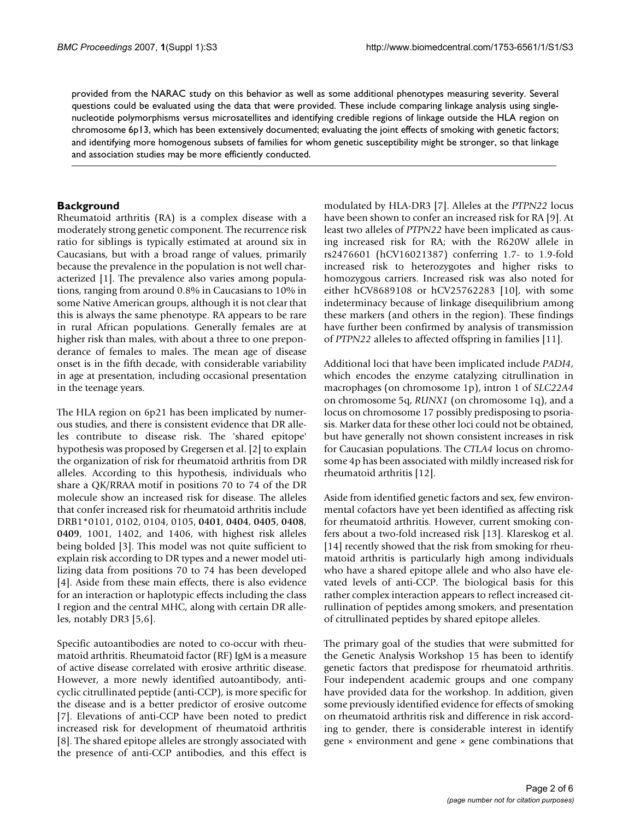provided from the NARAC study on this behavior as well as some additional phenotypes measuring severity. Several questions could be evaluated using the data that were provided. These include comparing linkage analysis using singlenucleotide polymorphisms versus microsatellites and identifying credible regions of linkage outside the HLA region on chromosome 6p13, which has been extensively documented; evaluating the joint effects of smoking with genetic factors; and identifying more homogenous subsets of families for whom genetic susceptibility might be stronger, so that linkage and association studies may be more efficiently conducted.

#### **Background**

Rheumatoid arthritis (RA) is a complex disease with a moderately strong genetic component. The recurrence risk ratio for siblings is typically estimated at around six in Caucasians, but with a broad range of values, primarily because the prevalence in the population is not well characterized [1]. The prevalence also varies among populations, ranging from around 0.8% in Caucasians to 10% in some Native American groups, although it is not clear that this is always the same phenotype. RA appears to be rare in rural African populations. Generally females are at higher risk than males, with about a three to one preponderance of females to males. The mean age of disease onset is in the fifth decade, with considerable variability in age at presentation, including occasional presentation in the teenage years.

The HLA region on 6p21 has been implicated by numerous studies, and there is consistent evidence that DR alleles contribute to disease risk. The 'shared epitope' hypothesis was proposed by Gregersen et al. [2] to explain the organization of risk for rheumatoid arthritis from DR alleles. According to this hypothesis, individuals who share a QK/RRAA motif in positions 70 to 74 of the DR molecule show an increased risk for disease. The alleles that confer increased risk for rheumatoid arthritis include DRB1\*0101, 0102, 0104, 0105, **0401**, **0404**, **0405**, **0408**, **0409**, 1001, 1402, and 1406, with highest risk alleles being bolded [3]. This model was not quite sufficient to explain risk according to DR types and a newer model utilizing data from positions 70 to 74 has been developed [4]. Aside from these main effects, there is also evidence for an interaction or haplotypic effects including the class I region and the central MHC, along with certain DR alleles, notably DR3 [5,6].

Specific autoantibodies are noted to co-occur with rheumatoid arthritis. Rheumatoid factor (RF) IgM is a measure of active disease correlated with erosive arthritic disease. However, a more newly identified autoantibody, anticyclic citrullinated peptide (anti-CCP), is more specific for the disease and is a better predictor of erosive outcome [7]. Elevations of anti-CCP have been noted to predict increased risk for development of rheumatoid arthritis [8]. The shared epitope alleles are strongly associated with the presence of anti-CCP antibodies, and this effect is modulated by HLA-DR3 [7]. Alleles at the *PTPN22* locus have been shown to confer an increased risk for RA [9]. At least two alleles of *PTPN22* have been implicated as causing increased risk for RA; with the R620W allele in rs2476601 (hCV16021387) conferring 1.7- to 1.9-fold increased risk to heterozygotes and higher risks to homozygous carriers. Increased risk was also noted for either hCV8689108 or hCV25762283 [10], with some indeterminacy because of linkage disequilibrium among these markers (and others in the region). These findings have further been confirmed by analysis of transmission of *PTPN22* alleles to affected offspring in families [11].

Additional loci that have been implicated include *PADI4*, which encodes the enzyme catalyzing citrullination in macrophages (on chromosome 1p), intron 1 of *SLC22A4* on chromosome 5q, *RUNX1* (on chromosome 1q), and a locus on chromosome 17 possibly predisposing to psoriasis. Marker data for these other loci could not be obtained, but have generally not shown consistent increases in risk for Caucasian populations. The *CTLA4* locus on chromosome 4p has been associated with mildly increased risk for rheumatoid arthritis [12].

Aside from identified genetic factors and sex, few environmental cofactors have yet been identified as affecting risk for rheumatoid arthritis. However, current smoking confers about a two-fold increased risk [13]. Klareskog et al. [14] recently showed that the risk from smoking for rheumatoid arthritis is particularly high among individuals who have a shared epitope allele and who also have elevated levels of anti-CCP. The biological basis for this rather complex interaction appears to reflect increased citrullination of peptides among smokers, and presentation of citrullinated peptides by shared epitope alleles.

The primary goal of the studies that were submitted for the Genetic Analysis Workshop 15 has been to identify genetic factors that predispose for rheumatoid arthritis. Four independent academic groups and one company have provided data for the workshop. In addition, given some previously identified evidence for effects of smoking on rheumatoid arthritis risk and difference in risk according to gender, there is considerable interest in identify gene  $\times$  environment and gene  $\times$  gene combinations that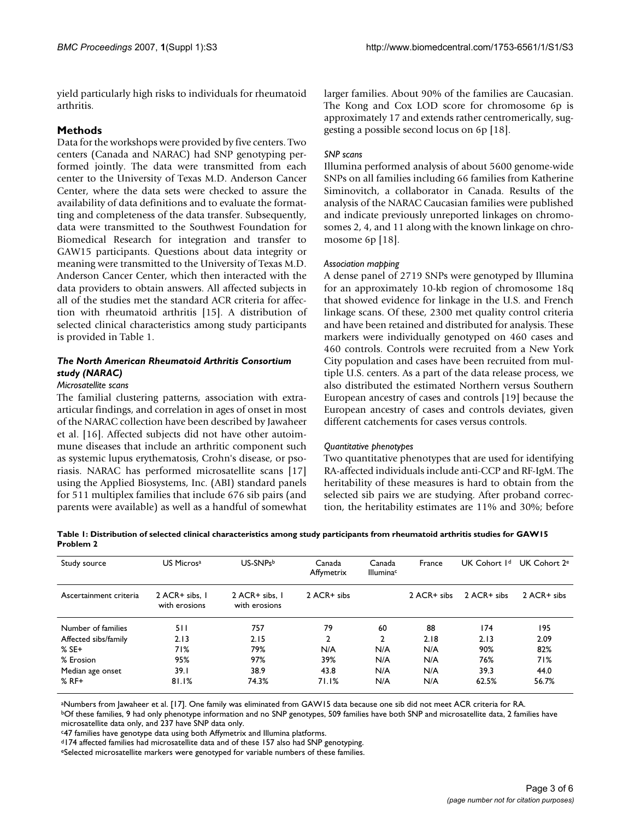yield particularly high risks to individuals for rheumatoid arthritis.

#### **Methods**

Data for the workshops were provided by five centers. Two centers (Canada and NARAC) had SNP genotyping performed jointly. The data were transmitted from each center to the University of Texas M.D. Anderson Cancer Center, where the data sets were checked to assure the availability of data definitions and to evaluate the formatting and completeness of the data transfer. Subsequently, data were transmitted to the Southwest Foundation for Biomedical Research for integration and transfer to GAW15 participants. Questions about data integrity or meaning were transmitted to the University of Texas M.D. Anderson Cancer Center, which then interacted with the data providers to obtain answers. All affected subjects in all of the studies met the standard ACR criteria for affection with rheumatoid arthritis [15]. A distribution of selected clinical characteristics among study participants is provided in Table 1.

### *The North American Rheumatoid Arthritis Consortium study (NARAC)*

#### *Microsatellite scans*

The familial clustering patterns, association with extraarticular findings, and correlation in ages of onset in most of the NARAC collection have been described by Jawaheer et al. [16]. Affected subjects did not have other autoimmune diseases that include an arthritic component such as systemic lupus erythematosis, Crohn's disease, or psoriasis. NARAC has performed microsatellite scans [17] using the Applied Biosystems, Inc. (ABI) standard panels for 511 multiplex families that include 676 sib pairs (and parents were available) as well as a handful of somewhat larger families. About 90% of the families are Caucasian. The Kong and Cox LOD score for chromosome 6p is approximately 17 and extends rather centromerically, suggesting a possible second locus on 6p [18].

#### *SNP scans*

Illumina performed analysis of about 5600 genome-wide SNPs on all families including 66 families from Katherine Siminovitch, a collaborator in Canada. Results of the analysis of the NARAC Caucasian families were published and indicate previously unreported linkages on chromosomes 2, 4, and 11 along with the known linkage on chromosome 6p [18].

#### *Association mapping*

A dense panel of 2719 SNPs were genotyped by Illumina for an approximately 10-kb region of chromosome 18q that showed evidence for linkage in the U.S. and French linkage scans. Of these, 2300 met quality control criteria and have been retained and distributed for analysis. These markers were individually genotyped on 460 cases and 460 controls. Controls were recruited from a New York City population and cases have been recruited from multiple U.S. centers. As a part of the data release process, we also distributed the estimated Northern versus Southern European ancestry of cases and controls [19] because the European ancestry of cases and controls deviates, given different catchements for cases versus controls.

#### *Quantitative phenotypes*

Two quantitative phenotypes that are used for identifying RA-affected individuals include anti-CCP and RF-IgM. The heritability of these measures is hard to obtain from the selected sib pairs we are studying. After proband correction, the heritability estimates are 11% and 30%; before

**Table 1: Distribution of selected clinical characteristics among study participants from rheumatoid arthritis studies for GAW15 Problem 2**

| Study source           | US Micros <sup>a</sup>          | US-SNPsb                        | Canada<br>Affymetrix | Canada<br><b>Illumina</b> c | France      | UK Cohort I <sup>d</sup> | UK Cohort 2 <sup>e</sup> |
|------------------------|---------------------------------|---------------------------------|----------------------|-----------------------------|-------------|--------------------------|--------------------------|
| Ascertainment criteria | 2 ACR+ sibs. 1<br>with erosions | 2 ACR+ sibs. 1<br>with erosions | 2 ACR+ sibs          |                             | 2 ACR+ sibs | 2 ACR+ sibs              | 2 ACR+ sibs              |
| Number of families     | 511                             | 757                             | 79                   | 60                          | 88          | 174                      | 195                      |
| Affected sibs/family   | 2.13                            | 2.15                            | 2                    | 2                           | 2.18        | 2.13                     | 2.09                     |
| $%$ SE+                | 71%                             | 79%                             | N/A                  | N/A                         | N/A         | 90%                      | 82%                      |
| % Erosion              | 95%                             | 97%                             | 39%                  | N/A                         | N/A         | 76%                      | 71%                      |
| Median age onset       | 39.I                            | 38.9                            | 43.8                 | N/A                         | N/A         | 39.3                     | 44.0                     |
| $%$ RF+                | 81.1%                           | 74.3%                           | 71.1%                | N/A                         | N/A         | 62.5%                    | 56.7%                    |

aNumbers from Jawaheer et al. [17]. One family was eliminated from GAW15 data because one sib did not meet ACR criteria for RA.

bOf these families, 9 had only phenotype information and no SNP genotypes, 509 families have both SNP and microsatellite data, 2 families have microsatellite data only, and 237 have SNP data only.

c47 families have genotype data using both Affymetrix and Illumina platforms.

d174 affected families had microsatellite data and of these 157 also had SNP genotyping.

eSelected microsatellite markers were genotyped for variable numbers of these families.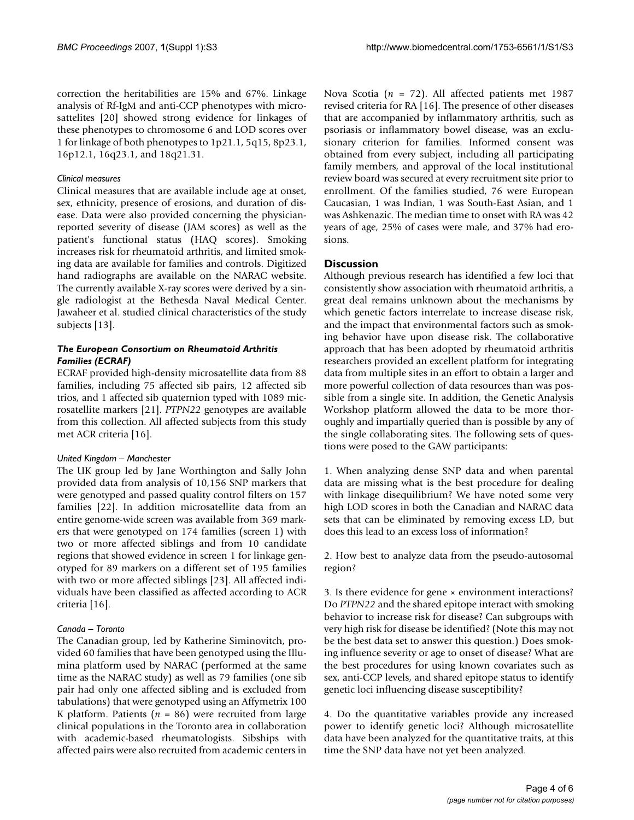correction the heritabilities are 15% and 67%. Linkage analysis of Rf-IgM and anti-CCP phenotypes with microsattelites [20] showed strong evidence for linkages of these phenotypes to chromosome 6 and LOD scores over 1 for linkage of both phenotypes to 1p21.1, 5q15, 8p23.1, 16p12.1, 16q23.1, and 18q21.31.

#### *Clinical measures*

Clinical measures that are available include age at onset, sex, ethnicity, presence of erosions, and duration of disease. Data were also provided concerning the physicianreported severity of disease (JAM scores) as well as the patient's functional status (HAQ scores). Smoking increases risk for rheumatoid arthritis, and limited smoking data are available for families and controls. Digitized hand radiographs are available on the NARAC website. The currently available X-ray scores were derived by a single radiologist at the Bethesda Naval Medical Center. Jawaheer et al. studied clinical characteristics of the study subjects [13].

#### *The European Consortium on Rheumatoid Arthritis Families (ECRAF)*

ECRAF provided high-density microsatellite data from 88 families, including 75 affected sib pairs, 12 affected sib trios, and 1 affected sib quaternion typed with 1089 microsatellite markers [21]. *PTPN22* genotypes are available from this collection. All affected subjects from this study met ACR criteria [16].

#### *United Kingdom – Manchester*

The UK group led by Jane Worthington and Sally John provided data from analysis of 10,156 SNP markers that were genotyped and passed quality control filters on 157 families [22]. In addition microsatellite data from an entire genome-wide screen was available from 369 markers that were genotyped on 174 families (screen 1) with two or more affected siblings and from 10 candidate regions that showed evidence in screen 1 for linkage genotyped for 89 markers on a different set of 195 families with two or more affected siblings [23]. All affected individuals have been classified as affected according to ACR criteria [16].

#### *Canada – Toronto*

The Canadian group, led by Katherine Siminovitch, provided 60 families that have been genotyped using the Illumina platform used by NARAC (performed at the same time as the NARAC study) as well as 79 families (one sib pair had only one affected sibling and is excluded from tabulations) that were genotyped using an Affymetrix 100 K platform. Patients  $(n = 86)$  were recruited from large clinical populations in the Toronto area in collaboration with academic-based rheumatologists. Sibships with affected pairs were also recruited from academic centers in

Nova Scotia (*n* = 72). All affected patients met 1987 revised criteria for RA [16]. The presence of other diseases that are accompanied by inflammatory arthritis, such as psoriasis or inflammatory bowel disease, was an exclusionary criterion for families. Informed consent was obtained from every subject, including all participating family members, and approval of the local institutional review board was secured at every recruitment site prior to enrollment. Of the families studied, 76 were European Caucasian, 1 was Indian, 1 was South-East Asian, and 1 was Ashkenazic. The median time to onset with RA was 42 years of age, 25% of cases were male, and 37% had erosions.

#### **Discussion**

Although previous research has identified a few loci that consistently show association with rheumatoid arthritis, a great deal remains unknown about the mechanisms by which genetic factors interrelate to increase disease risk, and the impact that environmental factors such as smoking behavior have upon disease risk. The collaborative approach that has been adopted by rheumatoid arthritis researchers provided an excellent platform for integrating data from multiple sites in an effort to obtain a larger and more powerful collection of data resources than was possible from a single site. In addition, the Genetic Analysis Workshop platform allowed the data to be more thoroughly and impartially queried than is possible by any of the single collaborating sites. The following sets of questions were posed to the GAW participants:

1. When analyzing dense SNP data and when parental data are missing what is the best procedure for dealing with linkage disequilibrium? We have noted some very high LOD scores in both the Canadian and NARAC data sets that can be eliminated by removing excess LD, but does this lead to an excess loss of information?

2. How best to analyze data from the pseudo-autosomal region?

3. Is there evidence for gene × environment interactions? Do *PTPN22* and the shared epitope interact with smoking behavior to increase risk for disease? Can subgroups with very high risk for disease be identified? (Note this may not be the best data set to answer this question.) Does smoking influence severity or age to onset of disease? What are the best procedures for using known covariates such as sex, anti-CCP levels, and shared epitope status to identify genetic loci influencing disease susceptibility?

4. Do the quantitative variables provide any increased power to identify genetic loci? Although microsatellite data have been analyzed for the quantitative traits, at this time the SNP data have not yet been analyzed.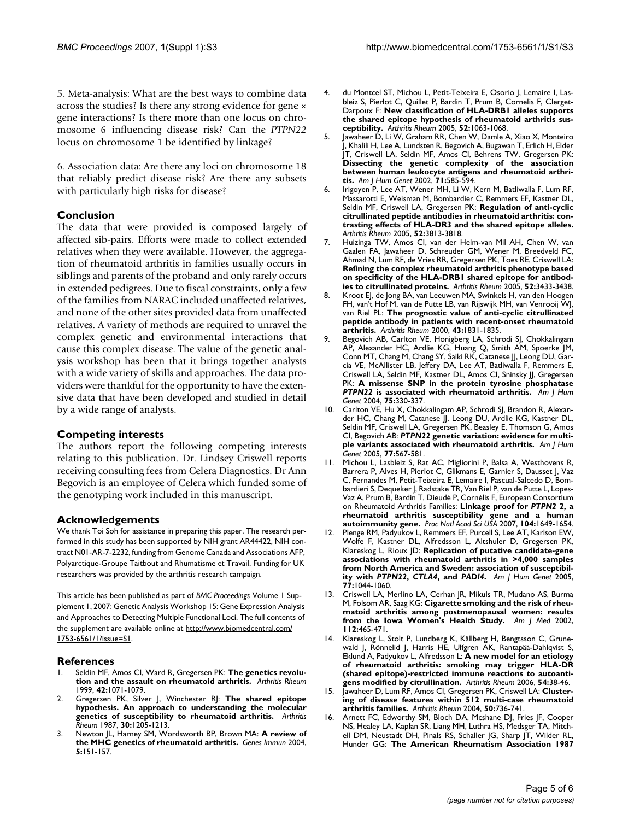5. Meta-analysis: What are the best ways to combine data across the studies? Is there any strong evidence for gene × gene interactions? Is there more than one locus on chromosome 6 influencing disease risk? Can the *PTPN22* locus on chromosome 1 be identified by linkage?

6. Association data: Are there any loci on chromosome 18 that reliably predict disease risk? Are there any subsets with particularly high risks for disease?

#### **Conclusion**

The data that were provided is composed largely of affected sib-pairs. Efforts were made to collect extended relatives when they were available. However, the aggregation of rheumatoid arthritis in families usually occurs in siblings and parents of the proband and only rarely occurs in extended pedigrees. Due to fiscal constraints, only a few of the families from NARAC included unaffected relatives, and none of the other sites provided data from unaffected relatives. A variety of methods are required to unravel the complex genetic and environmental interactions that cause this complex disease. The value of the genetic analysis workshop has been that it brings together analysts with a wide variety of skills and approaches. The data providers were thankful for the opportunity to have the extensive data that have been developed and studied in detail by a wide range of analysts.

#### **Competing interests**

The authors report the following competing interests relating to this publication. Dr. Lindsey Criswell reports receiving consulting fees from Celera Diagnostics. Dr Ann Begovich is an employee of Celera which funded some of the genotyping work included in this manuscript.

#### **Acknowledgements**

We thank Toi Soh for assistance in preparing this paper. The research performed in this study has been supported by NIH grant AR44422, NIH contract N01-AR-7-2232, funding from Genome Canada and Associations AFP, Polyarctique-Groupe Taitbout and Rhumatisme et Travail. Funding for UK researchers was provided by the arthritis research campaign.

This article has been published as part of *BMC Proceedings* Volume 1 Supplement 1, 2007: Genetic Analysis Workshop 15: Gene Expression Analysis and Approaches to Detecting Multiple Functional Loci. The full contents of the supplement are available online at [http://www.biomedcentral.com/](http://www.biomedcentral.com/1753-6561/1?issue=S1) [1753-6561/1?issue=S1.](http://www.biomedcentral.com/1753-6561/1?issue=S1)

#### **References**

- Seldin MF, Amos CI, Ward R, Gregersen PK: [The genetics revolu](http://www.ncbi.nlm.nih.gov/entrez/query.fcgi?cmd=Retrieve&db=PubMed&dopt=Abstract&list_uids=10366098)**[tion and the assault on rheumatoid arthritis.](http://www.ncbi.nlm.nih.gov/entrez/query.fcgi?cmd=Retrieve&db=PubMed&dopt=Abstract&list_uids=10366098)** *Arthritis Rheum* 1999, **42:**1071-1079.
- 2. Gregersen PK, Silver J, Winchester RJ: **[The shared epitope](http://www.ncbi.nlm.nih.gov/entrez/query.fcgi?cmd=Retrieve&db=PubMed&dopt=Abstract&list_uids=2446635) [hypothesis. An approach to understanding the molecular](http://www.ncbi.nlm.nih.gov/entrez/query.fcgi?cmd=Retrieve&db=PubMed&dopt=Abstract&list_uids=2446635) [genetics of susceptibility to rheumatoid arthritis.](http://www.ncbi.nlm.nih.gov/entrez/query.fcgi?cmd=Retrieve&db=PubMed&dopt=Abstract&list_uids=2446635)** *Arthritis Rheum* 1987, **30:**1205-1213.
- 3. Newton JL, Harney SM, Wordsworth BP, Brown MA: **[A review of](http://www.ncbi.nlm.nih.gov/entrez/query.fcgi?cmd=Retrieve&db=PubMed&dopt=Abstract&list_uids=14749714) [the MHC genetics of rheumatoid arthritis.](http://www.ncbi.nlm.nih.gov/entrez/query.fcgi?cmd=Retrieve&db=PubMed&dopt=Abstract&list_uids=14749714)** *Genes Immun* 2004, **5:**151-157.
- 4. du Montcel ST, Michou L, Petit-Teixeira E, Osorio J, Lemaire I, Lasbleiz S, Pierlot C, Quillet P, Bardin T, Prum B, Cornelis F, Clerget-Darpoux F: **[New classification of HLA-DRB1 alleles supports](http://www.ncbi.nlm.nih.gov/entrez/query.fcgi?cmd=Retrieve&db=PubMed&dopt=Abstract&list_uids=15818663) [the shared epitope hypothesis of rheumatoid arthritis sus](http://www.ncbi.nlm.nih.gov/entrez/query.fcgi?cmd=Retrieve&db=PubMed&dopt=Abstract&list_uids=15818663)[ceptibility.](http://www.ncbi.nlm.nih.gov/entrez/query.fcgi?cmd=Retrieve&db=PubMed&dopt=Abstract&list_uids=15818663)** *Arthritis Rheum* 2005, **52:**1063-1068.
- 5. Jawaheer D, Li W, Graham RR, Chen W, Damle A, Xiao X, Monteiro J, Khalili H, Lee A, Lundsten R, Begovich A, Bugawan T, Erlich H, Elder JT, Criswell LA, Seldin MF, Amos CI, Behrens TW, Gregersen PK: **[Dissecting the genetic complexity of the association](http://www.ncbi.nlm.nih.gov/entrez/query.fcgi?cmd=Retrieve&db=PubMed&dopt=Abstract&list_uids=12181776) between human leukocyte antigens and rheumatoid arthri[tis.](http://www.ncbi.nlm.nih.gov/entrez/query.fcgi?cmd=Retrieve&db=PubMed&dopt=Abstract&list_uids=12181776)** *Am J Hum Genet* 2002, **71:**585-594.
- 6. Irigoyen P, Lee AT, Wener MH, Li W, Kern M, Batliwalla F, Lum RF, Massarotti E, Weisman M, Bombardier C, Remmers EF, Kastner DL, Seldin MF, Criswell LA, Gregersen PK: **[Regulation of anti-cyclic](http://www.ncbi.nlm.nih.gov/entrez/query.fcgi?cmd=Retrieve&db=PubMed&dopt=Abstract&list_uids=16320316) [citrullinated peptide antibodies in rheumatoid arthritis: con](http://www.ncbi.nlm.nih.gov/entrez/query.fcgi?cmd=Retrieve&db=PubMed&dopt=Abstract&list_uids=16320316)trasting effects of HLA-DR3 and the shared epitope alleles.** *Arthritis Rheum* 2005, **52:**3813-3818.
- 7. Huizinga TW, Amos CI, van der Helm-van Mil AH, Chen W, van Gaalen FA, Jawaheer D, Schreuder GM, Wener M, Breedveld FC, Ahmad N, Lum RF, de Vries RR, Gregersen PK, Toes RE, Criswell LA: **[Refining the complex rheumatoid arthritis phenotype based](http://www.ncbi.nlm.nih.gov/entrez/query.fcgi?cmd=Retrieve&db=PubMed&dopt=Abstract&list_uids=16255021) on specificity of the HLA-DRB1 shared epitope for antibod[ies to citrullinated proteins.](http://www.ncbi.nlm.nih.gov/entrez/query.fcgi?cmd=Retrieve&db=PubMed&dopt=Abstract&list_uids=16255021)** *Arthritis Rheum* 2005, **52:**3433-3438.
- 8. Kroot EJ, de Jong BA, van Leeuwen MA, Swinkels H, van den Hoogen FH, van't Hof M, van de Putte LB, van Rijswijk MH, van Venrooij WJ, van Riel PL: **[The prognostic value of anti-cyclic citrullinated](http://www.ncbi.nlm.nih.gov/entrez/query.fcgi?cmd=Retrieve&db=PubMed&dopt=Abstract&list_uids=10943873) [peptide antibody in patients with recent-onset rheumatoid](http://www.ncbi.nlm.nih.gov/entrez/query.fcgi?cmd=Retrieve&db=PubMed&dopt=Abstract&list_uids=10943873) [arthritis.](http://www.ncbi.nlm.nih.gov/entrez/query.fcgi?cmd=Retrieve&db=PubMed&dopt=Abstract&list_uids=10943873)** *Arthritis Rheum* 2000, **43:**1831-1835.
- 9. Begovich AB, Carlton VE, Honigberg LA, Schrodi SJ, Chokkalingam AP, Alexander HC, Ardlie KG, Huang Q, Smith AM, Spoerke JM, Conn MT, Chang M, Chang SY, Saiki RK, Catanese JJ, Leong DU, Garcia VE, McAllister LB, Jeffery DA, Lee AT, Batliwalla F, Remmers E, Criswell LA, Seldin MF, Kastner DL, Amos CI, Sninsky JJ, Gregersen PK: **A missense SNP in the protein tyrosine phosphatase** *PTPN22* **[is associated with rheumatoid arthritis.](http://www.ncbi.nlm.nih.gov/entrez/query.fcgi?cmd=Retrieve&db=PubMed&dopt=Abstract&list_uids=15208781)** *Am J Hum Genet* 2004, **75:**330-337.
- 10. Carlton VE, Hu X, Chokkalingam AP, Schrodi SJ, Brandon R, Alexander HC, Chang M, Catanese JJ, Leong DU, Ardlie KG, Kastner DL, Seldin MF, Criswell LA, Gregersen PK, Beasley E, Thomson G, Amos CI, Begovich AB: *PTPN22* **[genetic variation: evidence for multi](http://www.ncbi.nlm.nih.gov/entrez/query.fcgi?cmd=Retrieve&db=PubMed&dopt=Abstract&list_uids=16175503)[ple variants associated with rheumatoid arthritis.](http://www.ncbi.nlm.nih.gov/entrez/query.fcgi?cmd=Retrieve&db=PubMed&dopt=Abstract&list_uids=16175503)** *Am J Hum Genet* 2005, **77:**567-581.
- 11. Michou L, Lasbleiz S, Rat AC, Migliorini P, Balsa A, Westhovens R, Barrera P, Alves H, Pierlot C, Glikmans E, Garnier S, Dausset J, Vaz C, Fernandes M, Petit-Teixeira E, Lemaire I, Pascual-Salcedo D, Bombardieri S, Dequeker J, Radstake TR, Van Riel P, van de Putte L, Lopes-Vaz A, Prum B, Bardin T, Dieudé P, Cornélis F, European Consortium on Rheumatoid Arthritis Families: **Linkage proof for** *PTPN2* **[2, a](http://www.ncbi.nlm.nih.gov/entrez/query.fcgi?cmd=Retrieve&db=PubMed&dopt=Abstract&list_uids=17237219) [rheumatoid arthritis susceptibility gene and a human](http://www.ncbi.nlm.nih.gov/entrez/query.fcgi?cmd=Retrieve&db=PubMed&dopt=Abstract&list_uids=17237219) [autoimmunity gene.](http://www.ncbi.nlm.nih.gov/entrez/query.fcgi?cmd=Retrieve&db=PubMed&dopt=Abstract&list_uids=17237219)** *Proc Natl Acad Sci USA* 2007, **104:**1649-1654.
- Plenge RM, Padyukov L, Remmers EF, Purcell S, Lee AT, Karlson EW, Wolfe F, Kastner DL, Alfredsson L, Altshuler D, Gregersen PK, Klareskog L, Rioux JD: **Replication of putative candidate-gene associations with rheumatoid arthritis in >4,000 samples from North America and Sweden: association of susceptibility with** *PTPN22***,** *CTLA4***, and** *PADI4***[.](http://www.ncbi.nlm.nih.gov/entrez/query.fcgi?cmd=Retrieve&db=PubMed&dopt=Abstract&list_uids=16380915)** *Am J Hum Genet* 2005, **77:**1044-1060.
- 13. Criswell LA, Merlino LA, Cerhan JR, Mikuls TR, Mudano AS, Burma M, Folsom AR, Saag KG: **[Cigarette smoking and the risk of rheu](http://www.ncbi.nlm.nih.gov/entrez/query.fcgi?cmd=Retrieve&db=PubMed&dopt=Abstract&list_uids=11959057)[matoid arthritis among postmenopausal women: results](http://www.ncbi.nlm.nih.gov/entrez/query.fcgi?cmd=Retrieve&db=PubMed&dopt=Abstract&list_uids=11959057) [from the Iowa Women's Health Study.](http://www.ncbi.nlm.nih.gov/entrez/query.fcgi?cmd=Retrieve&db=PubMed&dopt=Abstract&list_uids=11959057)** *Am J Med* 2002, **112:**465-471.
- Klareskog L, Stolt P, Lundberg K, Källberg H, Bengtsson C, Grunewald J, Rönnelid J, Harris HE, Ulfgren AK, Rantapää-Dahlqvist S, Eklund A, Padyukov L, Alfredsson L: **[A new model for an etiology](http://www.ncbi.nlm.nih.gov/entrez/query.fcgi?cmd=Retrieve&db=PubMed&dopt=Abstract&list_uids=16385494) [of rheumatoid arthritis: smoking may trigger HLA-DR](http://www.ncbi.nlm.nih.gov/entrez/query.fcgi?cmd=Retrieve&db=PubMed&dopt=Abstract&list_uids=16385494) (shared epitope)-restricted immune reactions to autoanti[gens modified by citrullination.](http://www.ncbi.nlm.nih.gov/entrez/query.fcgi?cmd=Retrieve&db=PubMed&dopt=Abstract&list_uids=16385494)** *Arthritis Rheum* 2006, **54:**38-46.
- 15. Jawaheer D, Lum RF, Amos CI, Gregersen PK, Criswell LA: **[Cluster](http://www.ncbi.nlm.nih.gov/entrez/query.fcgi?cmd=Retrieve&db=PubMed&dopt=Abstract&list_uids=15022313)[ing of disease features within 512 multi-case rheumatoid](http://www.ncbi.nlm.nih.gov/entrez/query.fcgi?cmd=Retrieve&db=PubMed&dopt=Abstract&list_uids=15022313) [arthritis families.](http://www.ncbi.nlm.nih.gov/entrez/query.fcgi?cmd=Retrieve&db=PubMed&dopt=Abstract&list_uids=15022313)** *Arthritis Rheum* 2004, **50:**736-741.
- 16. Arnett FC, Edworthy SM, Bloch DA, Mcshane DJ, Fries JF, Cooper NS, Healey LA, Kaplan SR, Liang MH, Luthra HS, Medsger TA, Mitchell DM, Neustadt DH, Pinals RS, Schaller JG, Sharp JT, Wilder RL, Hunder GG: **[The American Rheumatism Association 1987](http://www.ncbi.nlm.nih.gov/entrez/query.fcgi?cmd=Retrieve&db=PubMed&dopt=Abstract&list_uids=3358796)**